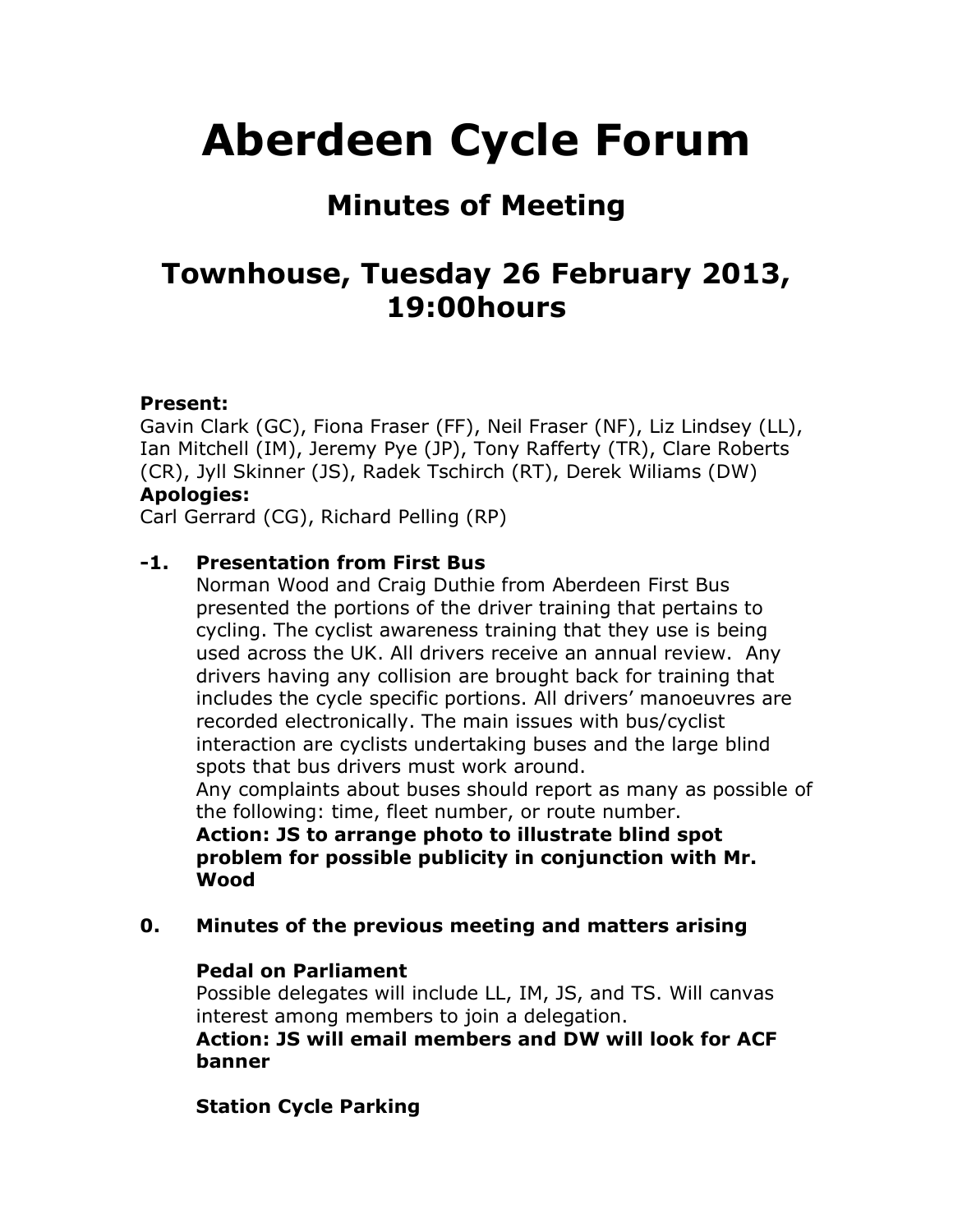# **Aberdeen Cycle Forum**

# **Minutes of Meeting**

# **Townhouse, Tuesday 26 February 2013, 19:00hours**

#### **Present:**

Gavin Clark (GC), Fiona Fraser (FF), Neil Fraser (NF), Liz Lindsey (LL), Ian Mitchell (IM), Jeremy Pye (JP), Tony Rafferty (TR), Clare Roberts (CR), Jyll Skinner (JS), Radek Tschirch (RT), Derek Wiliams (DW) **Apologies:**

Carl Gerrard (CG), Richard Pelling (RP)

# **-1. Presentation from First Bus**

Norman Wood and Craig Duthie from Aberdeen First Bus presented the portions of the driver training that pertains to cycling. The cyclist awareness training that they use is being used across the UK. All drivers receive an annual review. Any drivers having any collision are brought back for training that includes the cycle specific portions. All drivers' manoeuvres are recorded electronically. The main issues with bus/cyclist interaction are cyclists undertaking buses and the large blind spots that bus drivers must work around.

Any complaints about buses should report as many as possible of the following: time, fleet number, or route number.

**Action: JS to arrange photo to illustrate blind spot problem for possible publicity in conjunction with Mr. Wood**

# **0. Minutes of the previous meeting and matters arising**

#### **Pedal on Parliament**

Possible delegates will include LL, IM, JS, and TS. Will canvas interest among members to join a delegation.

**Action: JS will email members and DW will look for ACF banner**

# **Station Cycle Parking**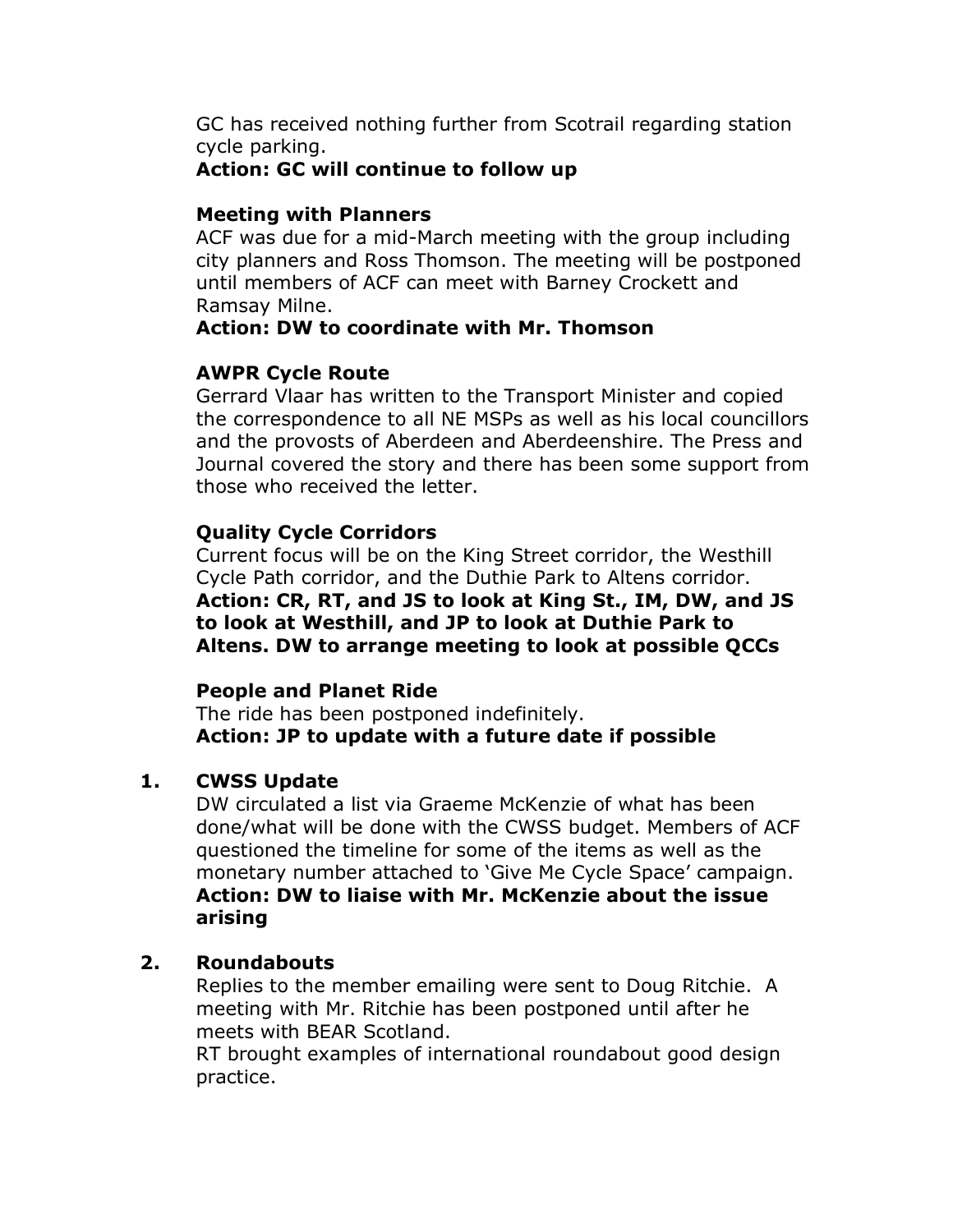GC has received nothing further from Scotrail regarding station cycle parking.

#### **Action: GC will continue to follow up**

#### **Meeting with Planners**

ACF was due for a mid-March meeting with the group including city planners and Ross Thomson. The meeting will be postponed until members of ACF can meet with Barney Crockett and Ramsay Milne.

#### **Action: DW to coordinate with Mr. Thomson**

# **AWPR Cycle Route**

Gerrard Vlaar has written to the Transport Minister and copied the correspondence to all NE MSPs as well as his local councillors and the provosts of Aberdeen and Aberdeenshire. The Press and Journal covered the story and there has been some support from those who received the letter.

# **Quality Cycle Corridors**

Current focus will be on the King Street corridor, the Westhill Cycle Path corridor, and the Duthie Park to Altens corridor. **Action: CR, RT, and JS to look at King St., IM, DW, and JS to look at Westhill, and JP to look at Duthie Park to Altens. DW to arrange meeting to look at possible QCCs**

# **People and Planet Ride**

The ride has been postponed indefinitely. **Action: JP to update with a future date if possible**

# **1. CWSS Update**

DW circulated a list via Graeme McKenzie of what has been done/what will be done with the CWSS budget. Members of ACF questioned the timeline for some of the items as well as the monetary number attached to 'Give Me Cycle Space' campaign. **Action: DW to liaise with Mr. McKenzie about the issue arising**

# **2. Roundabouts**

Replies to the member emailing were sent to Doug Ritchie. A meeting with Mr. Ritchie has been postponed until after he meets with BEAR Scotland.

RT brought examples of international roundabout good design practice.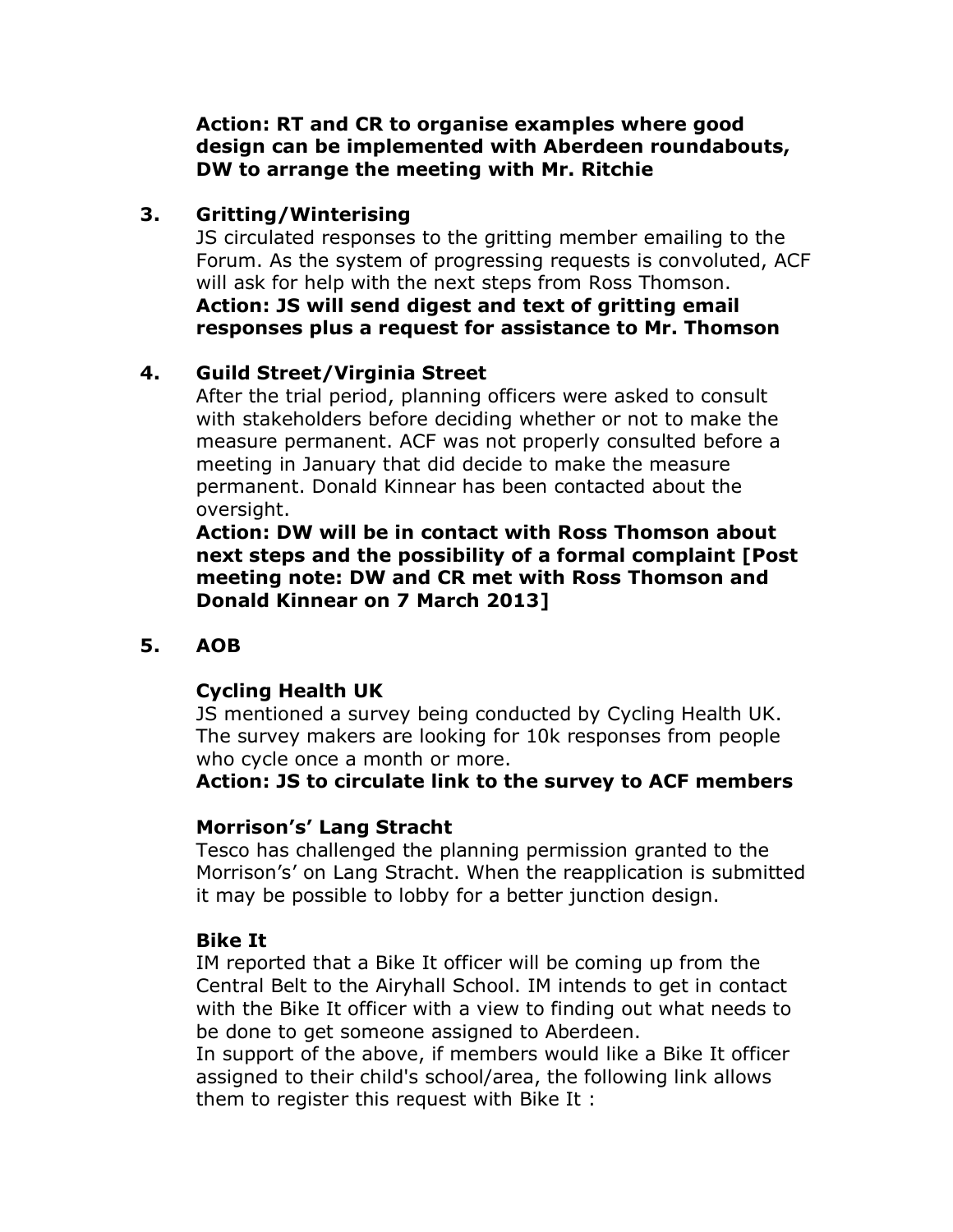**Action: RT and CR to organise examples where good design can be implemented with Aberdeen roundabouts, DW to arrange the meeting with Mr. Ritchie**

#### **3. Gritting/Winterising**

JS circulated responses to the gritting member emailing to the Forum. As the system of progressing requests is convoluted, ACF will ask for help with the next steps from Ross Thomson. **Action: JS will send digest and text of gritting email responses plus a request for assistance to Mr. Thomson**

# **4. Guild Street/Virginia Street**

After the trial period, planning officers were asked to consult with stakeholders before deciding whether or not to make the measure permanent. ACF was not properly consulted before a meeting in January that did decide to make the measure permanent. Donald Kinnear has been contacted about the oversight.

**Action: DW will be in contact with Ross Thomson about next steps and the possibility of a formal complaint [Post meeting note: DW and CR met with Ross Thomson and Donald Kinnear on 7 March 2013]**

# **5. AOB**

# **Cycling Health UK**

JS mentioned a survey being conducted by Cycling Health UK. The survey makers are looking for 10k responses from people who cycle once a month or more.

#### **Action: JS to circulate link to the survey to ACF members**

#### **Morrison's' Lang Stracht**

Tesco has challenged the planning permission granted to the Morrison's' on Lang Stracht. When the reapplication is submitted it may be possible to lobby for a better junction design.

# **Bike It**

IM reported that a Bike It officer will be coming up from the Central Belt to the Airyhall School. IM intends to get in contact with the Bike It officer with a view to finding out what needs to be done to get someone assigned to Aberdeen.

In support of the above, if members would like a Bike It officer assigned to their child's school/area, the following link allows them to register this request with Bike It :